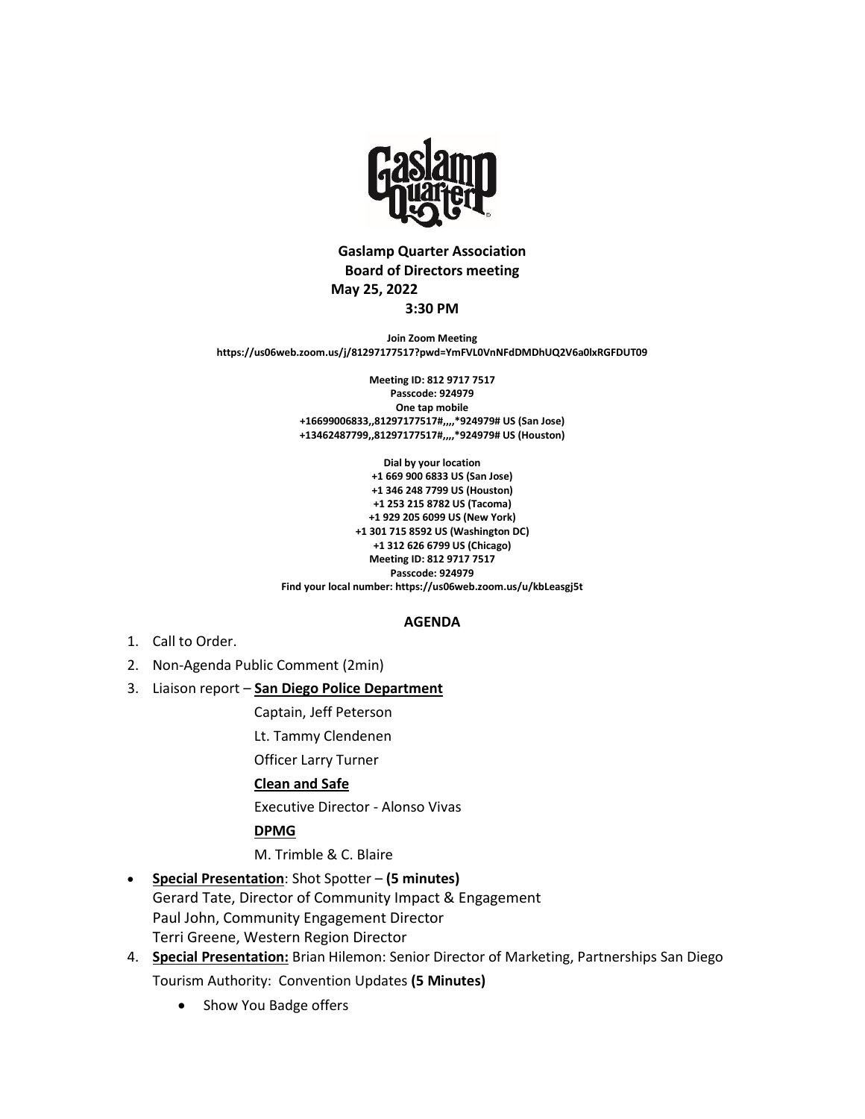

# **Gaslamp Quarter Association Board of Directors meeting May 25, 2022 3:30 PM**

**Join Zoom Meeting https://us06web.zoom.us/j/81297177517?pwd=YmFVL0VnNFdDMDhUQ2V6a0lxRGFDUT09**

> **Meeting ID: 812 9717 7517 Passcode: 924979 One tap mobile +16699006833,,81297177517#,,,,\*924979# US (San Jose) +13462487799,,81297177517#,,,,\*924979# US (Houston)**

**Dial by your location +1 669 900 6833 US (San Jose) +1 346 248 7799 US (Houston) +1 253 215 8782 US (Tacoma) +1 929 205 6099 US (New York) +1 301 715 8592 US (Washington DC) +1 312 626 6799 US (Chicago) Meeting ID: 812 9717 7517 Passcode: 924979 Find your local number: https://us06web.zoom.us/u/kbLeasgj5t**

#### **AGENDA**

- 1. Call to Order.
- 2. Non-Agenda Public Comment (2min)
- 3. Liaison report **San Diego Police Department**
	- Captain, Jeff Peterson
	- Lt. Tammy Clendenen

Officer Larry Turner

# **Clean and Safe**

Executive Director - Alonso Vivas

**DPMG**

M. Trimble & C. Blaire

- **Special Presentation**: Shot Spotter **(5 minutes)** Gerard Tate, Director of Community Impact & Engagement Paul John, Community Engagement Director Terri Greene, Western Region Director
- 4. **Special Presentation:** Brian Hilemon: Senior Director of Marketing, Partnerships San Diego Tourism Authority: Convention Updates **(5 Minutes)**
	- Show You Badge offers